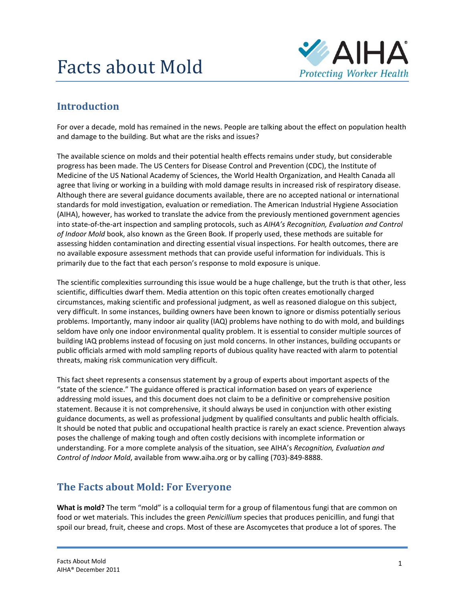# Facts about Mold



# **Introduction**

For over a decade, mold has remained in the news. People are talking about the effect on population health and damage to the building. But what are the risks and issues?

The available science on molds and their potential health effects remains under study, but considerable progress has been made. The US Centers for Disease Control and Prevention (CDC), the Institute of Medicine of the US National Academy of Sciences, the World Health Organization, and Health Canada all agree that living or working in a building with mold damage results in increased risk of respiratory disease. Although there are several guidance documents available, there are no accepted national or international standards for mold investigation, evaluation or remediation. The American Industrial Hygiene Association (AIHA), however, has worked to translate the advice from the previously mentioned government agencies into state‐of‐the‐art inspection and sampling protocols, such as *AIHA's Recognition, Evaluation and Control of Indoor Mold* book, also known as the Green Book. If properly used, these methods are suitable for assessing hidden contamination and directing essential visual inspections. For health outcomes, there are no available exposure assessment methods that can provide useful information for individuals. This is primarily due to the fact that each person's response to mold exposure is unique.

The scientific complexities surrounding this issue would be a huge challenge, but the truth is that other, less scientific, difficulties dwarf them. Media attention on this topic often creates emotionally charged circumstances, making scientific and professional judgment, as well as reasoned dialogue on this subject, very difficult. In some instances, building owners have been known to ignore or dismiss potentially serious problems. Importantly, many indoor air quality (IAQ) problems have nothing to do with mold, and buildings seldom have only one indoor environmental quality problem. It is essential to consider multiple sources of building IAQ problems instead of focusing on just mold concerns. In other instances, building occupants or public officials armed with mold sampling reports of dubious quality have reacted with alarm to potential threats, making risk communication very difficult.

This fact sheet represents a consensus statement by a group of experts about important aspects of the "state of the science." The guidance offered is practical information based on years of experience addressing mold issues, and this document does not claim to be a definitive or comprehensive position statement. Because it is not comprehensive, it should always be used in conjunction with other existing guidance documents, as well as professional judgment by qualified consultants and public health officials. It should be noted that public and occupational health practice is rarely an exact science. Prevention always poses the challenge of making tough and often costly decisions with incomplete information or understanding. For a more complete analysis of the situation, see AIHA's *Recognition, Evaluation and Control of Indoor Mold*, available from www.aiha.org or by calling (703)‐849‐8888.

### **The Facts about Mold: For Everyone**

**What is mold?** The term "mold" is a colloquial term for a group of filamentous fungi that are common on food or wet materials. This includes the green *Penicillium* species that produces penicillin, and fungi that spoil our bread, fruit, cheese and crops. Most of these are Ascomycetes that produce a lot of spores. The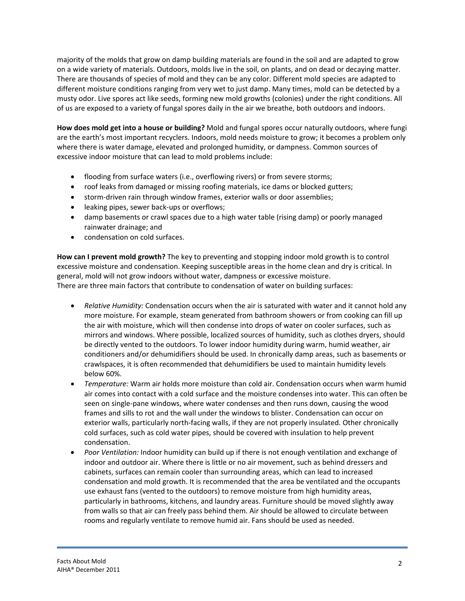majority of the molds that grow on damp building materials are found in the soil and are adapted to grow on a wide variety of materials. Outdoors, molds live in the soil, on plants, and on dead or decaying matter. There are thousands of species of mold and they can be any color. Different mold species are adapted to different moisture conditions ranging from very wet to just damp. Many times, mold can be detected by a musty odor. Live spores act like seeds, forming new mold growths (colonies) under the right conditions. All of us are exposed to a variety of fungal spores daily in the air we breathe, both outdoors and indoors.

**How does mold get into a house or building?** Mold and fungal spores occur naturally outdoors, where fungi are the earth's most important recyclers. Indoors, mold needs moisture to grow; it becomes a problem only where there is water damage, elevated and prolonged humidity, or dampness. Common sources of excessive indoor moisture that can lead to mold problems include:

- flooding from surface waters (i.e., overflowing rivers) or from severe storms;
- roof leaks from damaged or missing roofing materials, ice dams or blocked gutters;
- storm-driven rain through window frames, exterior walls or door assemblies;
- leaking pipes, sewer back-ups or overflows;
- damp basements or crawl spaces due to a high water table (rising damp) or poorly managed rainwater drainage; and
- condensation on cold surfaces.

**How can I prevent mold growth?** The key to preventing and stopping indoor mold growth is to control excessive moisture and condensation. Keeping susceptible areas in the home clean and dry is critical. In general, mold will not grow indoors without water, dampness or excessive moisture. There are three main factors that contribute to condensation of water on building surfaces:

- *Relative Humidity:* Condensation occurs when the air is saturated with water and it cannot hold any more moisture. For example, steam generated from bathroom showers or from cooking can fill up the air with moisture, which will then condense into drops of water on cooler surfaces, such as mirrors and windows. Where possible, localized sources of humidity, such as clothes dryers, should be directly vented to the outdoors. To lower indoor humidity during warm, humid weather, air conditioners and/or dehumidifiers should be used. In chronically damp areas, such as basements or crawlspaces, it is often recommended that dehumidifiers be used to maintain humidity levels below 60%.
- *Temperature:* Warm air holds more moisture than cold air. Condensation occurs when warm humid air comes into contact with a cold surface and the moisture condenses into water. This can often be seen on single‐pane windows, where water condenses and then runs down, causing the wood frames and sills to rot and the wall under the windows to blister. Condensation can occur on exterior walls, particularly north‐facing walls, if they are not properly insulated. Other chronically cold surfaces, such as cold water pipes, should be covered with insulation to help prevent condensation.
- *Poor Ventilation:* Indoor humidity can build up if there is not enough ventilation and exchange of indoor and outdoor air. Where there is little or no air movement, such as behind dressers and cabinets, surfaces can remain cooler than surrounding areas, which can lead to increased condensation and mold growth. It is recommended that the area be ventilated and the occupants use exhaust fans (vented to the outdoors) to remove moisture from high humidity areas, particularly in bathrooms, kitchens, and laundry areas. Furniture should be moved slightly away from walls so that air can freely pass behind them. Air should be allowed to circulate between rooms and regularly ventilate to remove humid air. Fans should be used as needed.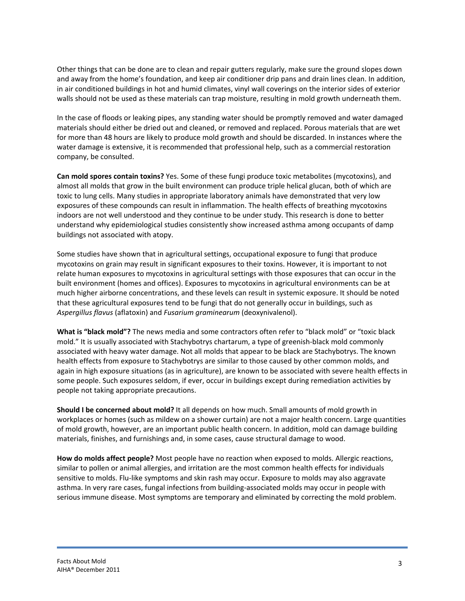Other things that can be done are to clean and repair gutters regularly, make sure the ground slopes down and away from the home's foundation, and keep air conditioner drip pans and drain lines clean. In addition, in air conditioned buildings in hot and humid climates, vinyl wall coverings on the interior sides of exterior walls should not be used as these materials can trap moisture, resulting in mold growth underneath them.

In the case of floods or leaking pipes, any standing water should be promptly removed and water damaged materials should either be dried out and cleaned, or removed and replaced. Porous materials that are wet for more than 48 hours are likely to produce mold growth and should be discarded. In instances where the water damage is extensive, it is recommended that professional help, such as a commercial restoration company, be consulted.

**Can mold spores contain toxins?** Yes. Some of these fungi produce toxic metabolites (mycotoxins), and almost all molds that grow in the built environment can produce triple helical glucan, both of which are toxic to lung cells. Many studies in appropriate laboratory animals have demonstrated that very low exposures of these compounds can result in inflammation. The health effects of breathing mycotoxins indoors are not well understood and they continue to be under study. This research is done to better understand why epidemiological studies consistently show increased asthma among occupants of damp buildings not associated with atopy.

Some studies have shown that in agricultural settings, occupational exposure to fungi that produce mycotoxins on grain may result in significant exposures to their toxins. However, it is important to not relate human exposures to mycotoxins in agricultural settings with those exposures that can occur in the built environment (homes and offices). Exposures to mycotoxins in agricultural environments can be at much higher airborne concentrations, and these levels can result in systemic exposure. It should be noted that these agricultural exposures tend to be fungi that do not generally occur in buildings, such as *Aspergillus flavus* (aflatoxin) and *Fusarium graminearum* (deoxynivalenol).

**What is "black mold"?** The news media and some contractors often refer to "black mold" or "toxic black mold." It is usually associated with Stachybotrys chartarum, a type of greenish-black mold commonly associated with heavy water damage. Not all molds that appear to be black are Stachybotrys. The known health effects from exposure to Stachybotrys are similar to those caused by other common molds, and again in high exposure situations (as in agriculture), are known to be associated with severe health effects in some people. Such exposures seldom, if ever, occur in buildings except during remediation activities by people not taking appropriate precautions.

**Should I be concerned about mold?** It all depends on how much. Small amounts of mold growth in workplaces or homes (such as mildew on a shower curtain) are not a major health concern. Large quantities of mold growth, however, are an important public health concern. In addition, mold can damage building materials, finishes, and furnishings and, in some cases, cause structural damage to wood.

**How do molds affect people?** Most people have no reaction when exposed to molds. Allergic reactions, similar to pollen or animal allergies, and irritation are the most common health effects for individuals sensitive to molds. Flu-like symptoms and skin rash may occur. Exposure to molds may also aggravate asthma. In very rare cases, fungal infections from building‐associated molds may occur in people with serious immune disease. Most symptoms are temporary and eliminated by correcting the mold problem.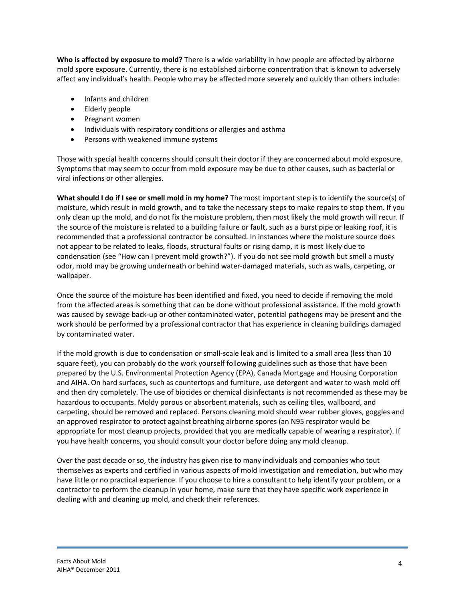**Who is affected by exposure to mold?** There is a wide variability in how people are affected by airborne mold spore exposure. Currently, there is no established airborne concentration that is known to adversely affect any individual's health. People who may be affected more severely and quickly than others include:

- Infants and children
- Elderly people
- Pregnant women
- Individuals with respiratory conditions or allergies and asthma
- Persons with weakened immune systems

Those with special health concerns should consult their doctor if they are concerned about mold exposure. Symptoms that may seem to occur from mold exposure may be due to other causes, such as bacterial or viral infections or other allergies.

**What should I do if I see or smell mold in my home?** The most important step is to identify the source(s) of moisture, which result in mold growth, and to take the necessary steps to make repairs to stop them. If you only clean up the mold, and do not fix the moisture problem, then most likely the mold growth will recur. If the source of the moisture is related to a building failure or fault, such as a burst pipe or leaking roof, it is recommended that a professional contractor be consulted. In instances where the moisture source does not appear to be related to leaks, floods, structural faults or rising damp, it is most likely due to condensation (see "How can I prevent mold growth?"). If you do not see mold growth but smell a musty odor, mold may be growing underneath or behind water‐damaged materials, such as walls, carpeting, or wallpaper.

Once the source of the moisture has been identified and fixed, you need to decide if removing the mold from the affected areas is something that can be done without professional assistance. If the mold growth was caused by sewage back‐up or other contaminated water, potential pathogens may be present and the work should be performed by a professional contractor that has experience in cleaning buildings damaged by contaminated water.

If the mold growth is due to condensation or small‐scale leak and is limited to a small area (less than 10 square feet), you can probably do the work yourself following guidelines such as those that have been prepared by the U.S. Environmental Protection Agency (EPA), Canada Mortgage and Housing Corporation and AIHA. On hard surfaces, such as countertops and furniture, use detergent and water to wash mold off and then dry completely. The use of biocides or chemical disinfectants is not recommended as these may be hazardous to occupants. Moldy porous or absorbent materials, such as ceiling tiles, wallboard, and carpeting, should be removed and replaced. Persons cleaning mold should wear rubber gloves, goggles and an approved respirator to protect against breathing airborne spores (an N95 respirator would be appropriate for most cleanup projects, provided that you are medically capable of wearing a respirator). If you have health concerns, you should consult your doctor before doing any mold cleanup.

Over the past decade or so, the industry has given rise to many individuals and companies who tout themselves as experts and certified in various aspects of mold investigation and remediation, but who may have little or no practical experience. If you choose to hire a consultant to help identify your problem, or a contractor to perform the cleanup in your home, make sure that they have specific work experience in dealing with and cleaning up mold, and check their references.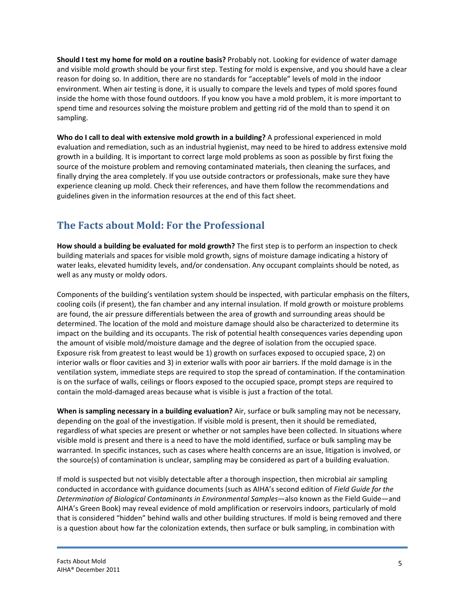**Should I test my home for mold on a routine basis?** Probably not. Looking for evidence of water damage and visible mold growth should be your first step. Testing for mold is expensive, and you should have a clear reason for doing so. In addition, there are no standards for "acceptable" levels of mold in the indoor environment. When air testing is done, it is usually to compare the levels and types of mold spores found inside the home with those found outdoors. If you know you have a mold problem, it is more important to spend time and resources solving the moisture problem and getting rid of the mold than to spend it on sampling.

**Who do I call to deal with extensive mold growth in a building?** A professional experienced in mold evaluation and remediation, such as an industrial hygienist, may need to be hired to address extensive mold growth in a building. It is important to correct large mold problems as soon as possible by first fixing the source of the moisture problem and removing contaminated materials, then cleaning the surfaces, and finally drying the area completely. If you use outside contractors or professionals, make sure they have experience cleaning up mold. Check their references, and have them follow the recommendations and guidelines given in the information resources at the end of this fact sheet.

# **The Facts about Mold: For the Professional**

**How should a building be evaluated for mold growth?** The first step is to perform an inspection to check building materials and spaces for visible mold growth, signs of moisture damage indicating a history of water leaks, elevated humidity levels, and/or condensation. Any occupant complaints should be noted, as well as any musty or moldy odors.

Components of the building's ventilation system should be inspected, with particular emphasis on the filters, cooling coils (if present), the fan chamber and any internal insulation. If mold growth or moisture problems are found, the air pressure differentials between the area of growth and surrounding areas should be determined. The location of the mold and moisture damage should also be characterized to determine its impact on the building and its occupants. The risk of potential health consequences varies depending upon the amount of visible mold/moisture damage and the degree of isolation from the occupied space. Exposure risk from greatest to least would be 1) growth on surfaces exposed to occupied space, 2) on interior walls or floor cavities and 3) in exterior walls with poor air barriers. If the mold damage is in the ventilation system, immediate steps are required to stop the spread of contamination. If the contamination is on the surface of walls, ceilings or floors exposed to the occupied space, prompt steps are required to contain the mold‐damaged areas because what is visible is just a fraction of the total.

**When is sampling necessary in a building evaluation?** Air, surface or bulk sampling may not be necessary, depending on the goal of the investigation. If visible mold is present, then it should be remediated, regardless of what species are present or whether or not samples have been collected. In situations where visible mold is present and there is a need to have the mold identified, surface or bulk sampling may be warranted. In specific instances, such as cases where health concerns are an issue, litigation is involved, or the source(s) of contamination is unclear, sampling may be considered as part of a building evaluation.

If mold is suspected but not visibly detectable after a thorough inspection, then microbial air sampling conducted in accordance with guidance documents (such as AIHA's second edition of *Field Guide for the Determination of Biological Contaminants in Environmental Samples*—also known as the Field Guide—and AIHA's Green Book) may reveal evidence of mold amplification or reservoirs indoors, particularly of mold that is considered "hidden" behind walls and other building structures. If mold is being removed and there is a question about how far the colonization extends, then surface or bulk sampling, in combination with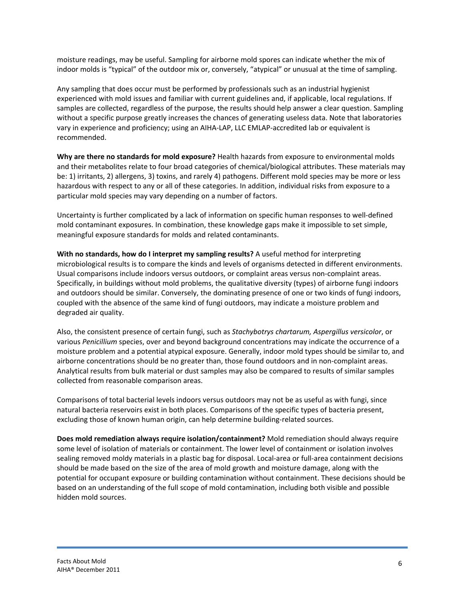moisture readings, may be useful. Sampling for airborne mold spores can indicate whether the mix of indoor molds is "typical" of the outdoor mix or, conversely, "atypical" or unusual at the time of sampling.

Any sampling that does occur must be performed by professionals such as an industrial hygienist experienced with mold issues and familiar with current guidelines and, if applicable, local regulations. If samples are collected, regardless of the purpose, the results should help answer a clear question. Sampling without a specific purpose greatly increases the chances of generating useless data. Note that laboratories vary in experience and proficiency; using an AIHA‐LAP, LLC EMLAP‐accredited lab or equivalent is recommended.

**Why are there no standards for mold exposure?** Health hazards from exposure to environmental molds and their metabolites relate to four broad categories of chemical/biological attributes. These materials may be: 1) irritants, 2) allergens, 3) toxins, and rarely 4) pathogens. Different mold species may be more or less hazardous with respect to any or all of these categories. In addition, individual risks from exposure to a particular mold species may vary depending on a number of factors.

Uncertainty is further complicated by a lack of information on specific human responses to well‐defined mold contaminant exposures. In combination, these knowledge gaps make it impossible to set simple, meaningful exposure standards for molds and related contaminants.

**With no standards, how do I interpret my sampling results?** A useful method for interpreting microbiological results is to compare the kinds and levels of organisms detected in different environments. Usual comparisons include indoors versus outdoors, or complaint areas versus non‐complaint areas. Specifically, in buildings without mold problems, the qualitative diversity (types) of airborne fungi indoors and outdoors should be similar. Conversely, the dominating presence of one or two kinds of fungi indoors, coupled with the absence of the same kind of fungi outdoors, may indicate a moisture problem and degraded air quality.

Also, the consistent presence of certain fungi, such as *Stachybotrys chartarum, Aspergillus versicolor*, or various *Penicillium* species, over and beyond background concentrations may indicate the occurrence of a moisture problem and a potential atypical exposure. Generally, indoor mold types should be similar to, and airborne concentrations should be no greater than, those found outdoors and in non‐complaint areas. Analytical results from bulk material or dust samples may also be compared to results of similar samples collected from reasonable comparison areas.

Comparisons of total bacterial levels indoors versus outdoors may not be as useful as with fungi, since natural bacteria reservoirs exist in both places. Comparisons of the specific types of bacteria present, excluding those of known human origin, can help determine building‐related sources.

**Does mold remediation always require isolation/containment?** Mold remediation should always require some level of isolation of materials or containment. The lower level of containment or isolation involves sealing removed moldy materials in a plastic bag for disposal. Local‐area or full‐area containment decisions should be made based on the size of the area of mold growth and moisture damage, along with the potential for occupant exposure or building contamination without containment. These decisions should be based on an understanding of the full scope of mold contamination, including both visible and possible hidden mold sources.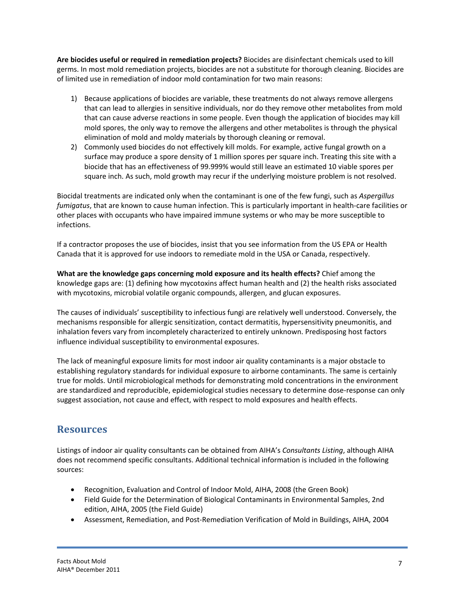**Are biocides useful or required in remediation projects?** Biocides are disinfectant chemicals used to kill germs. In most mold remediation projects, biocides are not a substitute for thorough cleaning. Biocides are of limited use in remediation of indoor mold contamination for two main reasons:

- 1) Because applications of biocides are variable, these treatments do not always remove allergens that can lead to allergies in sensitive individuals, nor do they remove other metabolites from mold that can cause adverse reactions in some people. Even though the application of biocides may kill mold spores, the only way to remove the allergens and other metabolites is through the physical elimination of mold and moldy materials by thorough cleaning or removal.
- 2) Commonly used biocides do not effectively kill molds. For example, active fungal growth on a surface may produce a spore density of 1 million spores per square inch. Treating this site with a biocide that has an effectiveness of 99.999% would still leave an estimated 10 viable spores per square inch. As such, mold growth may recur if the underlying moisture problem is not resolved.

Biocidal treatments are indicated only when the contaminant is one of the few fungi, such as *Aspergillus fumigatus*, that are known to cause human infection. This is particularly important in health‐care facilities or other places with occupants who have impaired immune systems or who may be more susceptible to infections.

If a contractor proposes the use of biocides, insist that you see information from the US EPA or Health Canada that it is approved for use indoors to remediate mold in the USA or Canada, respectively.

**What are the knowledge gaps concerning mold exposure and its health effects?** Chief among the knowledge gaps are: (1) defining how mycotoxins affect human health and (2) the health risks associated with mycotoxins, microbial volatile organic compounds, allergen, and glucan exposures.

The causes of individuals' susceptibility to infectious fungi are relatively well understood. Conversely, the mechanisms responsible for allergic sensitization, contact dermatitis, hypersensitivity pneumonitis, and inhalation fevers vary from incompletely characterized to entirely unknown. Predisposing host factors influence individual susceptibility to environmental exposures.

The lack of meaningful exposure limits for most indoor air quality contaminants is a major obstacle to establishing regulatory standards for individual exposure to airborne contaminants. The same is certainly true for molds. Until microbiological methods for demonstrating mold concentrations in the environment are standardized and reproducible, epidemiological studies necessary to determine dose-response can only suggest association, not cause and effect, with respect to mold exposures and health effects.

### **Resources**

Listings of indoor air quality consultants can be obtained from AIHA's *Consultants Listing*, although AIHA does not recommend specific consultants. Additional technical information is included in the following sources:

- Recognition, Evaluation and Control of Indoor Mold, AIHA, 2008 (the Green Book)
- Field Guide for the Determination of Biological Contaminants in Environmental Samples, 2nd edition, AIHA, 2005 (the Field Guide)
- Assessment, Remediation, and Post-Remediation Verification of Mold in Buildings, AIHA, 2004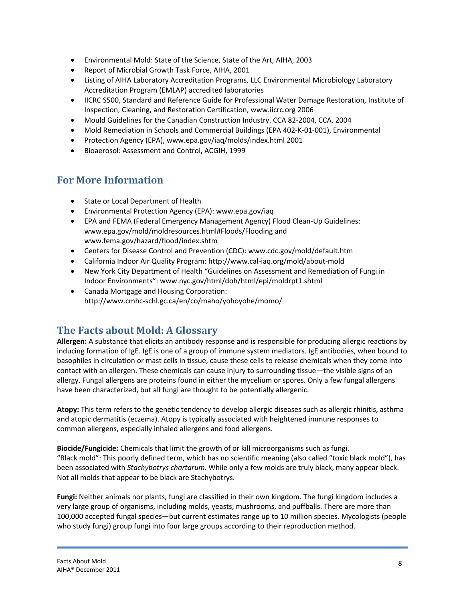- Environmental Mold: State of the Science, State of the Art, AIHA, 2003
- Report of Microbial Growth Task Force, AIHA, 2001
- Listing of AIHA Laboratory Accreditation Programs, LLC Environmental Microbiology Laboratory Accreditation Program (EMLAP) accredited laboratories
- IICRC S500, Standard and Reference Guide for Professional Water Damage Restoration, Institute of Inspection, Cleaning, and Restoration Certification, www.iicrc.org 2006
- Mould Guidelines for the Canadian Construction Industry. CCA 82-2004, CCA, 2004
- Mold Remediation in Schools and Commercial Buildings (EPA 402‐K‐01‐001), Environmental
- Protection Agency (EPA), www.epa.gov/iaq/molds/index.html 2001
- Bioaerosol: Assessment and Control, ACGIH, 1999

#### **For More Information**

- State or Local Department of Health
- Environmental Protection Agency (EPA): www.epa.gov/iaq
- EPA and FEMA (Federal Emergency Management Agency) Flood Clean-Up Guidelines: www.epa.gov/mold/moldresources.html#Floods/Flooding and www.fema.gov/hazard/flood/index.shtm
- Centers for Disease Control and Prevention (CDC): www.cdc.gov/mold/default.htm
- California Indoor Air Quality Program: http://www.cal‐iaq.org/mold/about‐mold
- New York City Department of Health "Guidelines on Assessment and Remediation of Fungi in Indoor Environments": www.nyc.gov/html/doh/html/epi/moldrpt1.shtml
- Canada Mortgage and Housing Corporation: http://www.cmhc‐schl.gc.ca/en/co/maho/yohoyohe/momo/

#### **The Facts about Mold: A Glossary**

**Allergen:** A substance that elicits an antibody response and is responsible for producing allergic reactions by inducing formation of IgE. IgE is one of a group of immune system mediators. IgE antibodies, when bound to basophiles in circulation or mast cells in tissue, cause these cells to release chemicals when they come into contact with an allergen. These chemicals can cause injury to surrounding tissue—the visible signs of an allergy. Fungal allergens are proteins found in either the mycelium or spores. Only a few fungal allergens have been characterized, but all fungi are thought to be potentially allergenic.

**Atopy:** This term refers to the genetic tendency to develop allergic diseases such as allergic rhinitis, asthma and atopic dermatitis (eczema). Atopy is typically associated with heightened immune responses to common allergens, especially inhaled allergens and food allergens.

**Biocide/Fungicide:** Chemicals that limit the growth of or kill microorganisms such as fungi. "Black mold": This poorly defined term, which has no scientific meaning (also called "toxic black mold"), has been associated with *Stachybotrys chartarum*. While only a few molds are truly black, many appear black. Not all molds that appear to be black are Stachybotrys.

**Fungi:** Neither animals nor plants, fungi are classified in their own kingdom. The fungi kingdom includes a very large group of organisms, including molds, yeasts, mushrooms, and puffballs. There are more than 100,000 accepted fungal species—but current estimates range up to 10 million species. Mycologists (people who study fungi) group fungi into four large groups according to their reproduction method.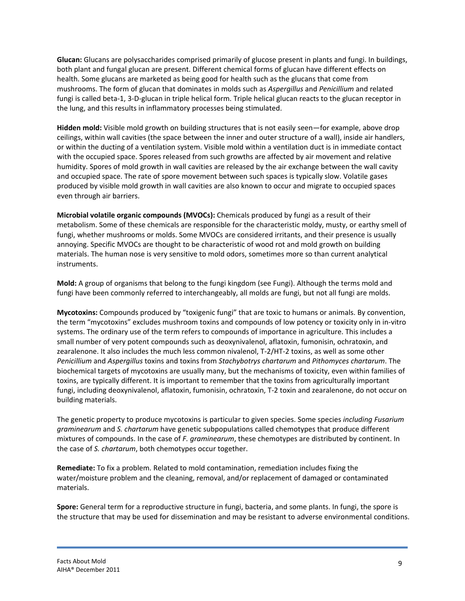**Glucan:** Glucans are polysaccharides comprised primarily of glucose present in plants and fungi. In buildings, both plant and fungal glucan are present. Different chemical forms of glucan have different effects on health. Some glucans are marketed as being good for health such as the glucans that come from mushrooms. The form of glucan that dominates in molds such as *Aspergillus* and *Penicillium* and related fungi is called beta‐1, 3‐D‐glucan in triple helical form. Triple helical glucan reacts to the glucan receptor in the lung, and this results in inflammatory processes being stimulated.

**Hidden mold:** Visible mold growth on building structures that is not easily seen—for example, above drop ceilings, within wall cavities (the space between the inner and outer structure of a wall), inside air handlers, or within the ducting of a ventilation system. Visible mold within a ventilation duct is in immediate contact with the occupied space. Spores released from such growths are affected by air movement and relative humidity. Spores of mold growth in wall cavities are released by the air exchange between the wall cavity and occupied space. The rate of spore movement between such spaces is typically slow. Volatile gases produced by visible mold growth in wall cavities are also known to occur and migrate to occupied spaces even through air barriers.

**Microbial volatile organic compounds (MVOCs):** Chemicals produced by fungi as a result of their metabolism. Some of these chemicals are responsible for the characteristic moldy, musty, or earthy smell of fungi, whether mushrooms or molds. Some MVOCs are considered irritants, and their presence is usually annoying. Specific MVOCs are thought to be characteristic of wood rot and mold growth on building materials. The human nose is very sensitive to mold odors, sometimes more so than current analytical instruments.

**Mold:** A group of organisms that belong to the fungi kingdom (see Fungi). Although the terms mold and fungi have been commonly referred to interchangeably, all molds are fungi, but not all fungi are molds.

**Mycotoxins:** Compounds produced by "toxigenic fungi" that are toxic to humans or animals. By convention, the term "mycotoxins" excludes mushroom toxins and compounds of low potency or toxicity only in in‐vitro systems. The ordinary use of the term refers to compounds of importance in agriculture. This includes a small number of very potent compounds such as deoxynivalenol, aflatoxin, fumonisin, ochratoxin, and zearalenone. It also includes the much less common nivalenol, T‐2/HT‐2 toxins, as well as some other *Penicillium* and *Aspergillus* toxins and toxins from *Stachybotrys chartarum* and *Pithomyces chartarum*. The biochemical targets of mycotoxins are usually many, but the mechanisms of toxicity, even within families of toxins, are typically different. It is important to remember that the toxins from agriculturally important fungi, including deoxynivalenol, aflatoxin, fumonisin, ochratoxin, T‐2 toxin and zearalenone, do not occur on building materials.

The genetic property to produce mycotoxins is particular to given species. Some species *including Fusarium graminearum* and *S. chartarum* have genetic subpopulations called chemotypes that produce different mixtures of compounds. In the case of *F. graminearum*, these chemotypes are distributed by continent. In the case of *S. chartarum*, both chemotypes occur together.

**Remediate:** To fix a problem. Related to mold contamination, remediation includes fixing the water/moisture problem and the cleaning, removal, and/or replacement of damaged or contaminated materials.

**Spore:** General term for a reproductive structure in fungi, bacteria, and some plants. In fungi, the spore is the structure that may be used for dissemination and may be resistant to adverse environmental conditions.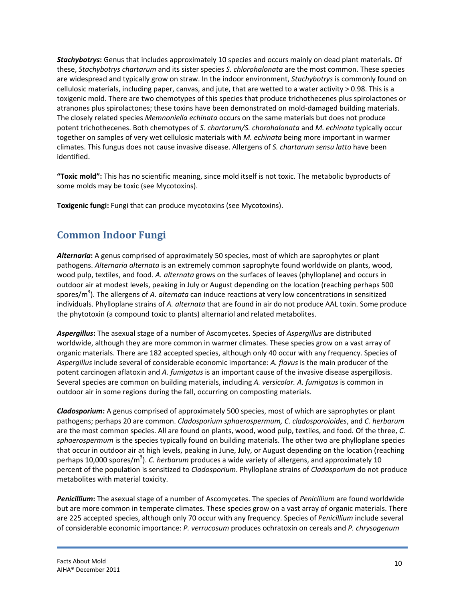*Stachybotrys***:** Genus that includes approximately 10 species and occurs mainly on dead plant materials. Of these, *Stachybotrys chartarum* and its sister species *S. chlorohalonata* are the most common. These species are widespread and typically grow on straw. In the indoor environment, *Stachybotrys* is commonly found on cellulosic materials, including paper, canvas, and jute, that are wetted to a water activity > 0.98. This is a toxigenic mold. There are two chemotypes of this species that produce trichothecenes plus spirolactones or atranones plus spirolactones; these toxins have been demonstrated on mold‐damaged building materials. The closely related species *Memnoniella echinata* occurs on the same materials but does not produce potent trichothecenes. Both chemotypes of *S. chartarum/S. chorohalonata* and *M. echinata* typically occur together on samples of very wet cellulosic materials with *M. echinata* being more important in warmer climates. This fungus does not cause invasive disease. Allergens of *S. chartarum sensu latto* have been identified.

**"Toxic mold":** This has no scientific meaning, since mold itself is not toxic. The metabolic byproducts of some molds may be toxic (see Mycotoxins).

**Toxigenic fungi:** Fungi that can produce mycotoxins (see Mycotoxins).

## **Common Indoor Fungi**

*Alternaria***:** A genus comprised of approximately 50 species, most of which are saprophytes or plant pathogens. *Alternaria alternata* is an extremely common saprophyte found worldwide on plants, wood, wood pulp, textiles, and food. *A. alternata* grows on the surfaces of leaves (phylloplane) and occurs in outdoor air at modest levels, peaking in July or August depending on the location (reaching perhaps 500 spores/m<sup>3</sup>). The allergens of *A. alternata* can induce reactions at very low concentrations in sensitized individuals. Phylloplane strains of *A. alternata* that are found in air do not produce AAL toxin. Some produce the phytotoxin (a compound toxic to plants) alternariol and related metabolites.

*Aspergillus***:** The asexual stage of a number of Ascomycetes. Species of *Aspergillus* are distributed worldwide, although they are more common in warmer climates. These species grow on a vast array of organic materials. There are 182 accepted species, although only 40 occur with any frequency. Species of *Aspergillus* include several of considerable economic importance: *A. flavus* is the main producer of the potent carcinogen aflatoxin and *A. fumigatus* is an important cause of the invasive disease aspergillosis. Several species are common on building materials, including *A. versicolor. A. fumigatus* is common in outdoor air in some regions during the fall, occurring on composting materials.

*Cladosporium***:** A genus comprised of approximately 500 species, most of which are saprophytes or plant pathogens; perhaps 20 are common. *Cladosporium sphaerospermum, C. cladosporoioides*, and *C. herbarum* are the most common species. All are found on plants, wood, wood pulp, textiles, and food. Of the three, *C. sphaerospermum* is the species typically found on building materials. The other two are phylloplane species that occur in outdoor air at high levels, peaking in June, July, or August depending on the location (reaching perhaps 10,000 spores/m<sup>3</sup>). *C. herbarum* produces a wide variety of allergens, and approximately 10 percent of the population is sensitized to *Cladosporium*. Phylloplane strains of *Cladosporium* do not produce metabolites with material toxicity.

*Penicillium***:** The asexual stage of a number of Ascomycetes. The species of *Penicillium* are found worldwide but are more common in temperate climates. These species grow on a vast array of organic materials. There are 225 accepted species, although only 70 occur with any frequency. Species of *Penicillium* include several of considerable economic importance: *P. verrucosum* produces ochratoxin on cereals and *P. chrysogenum*